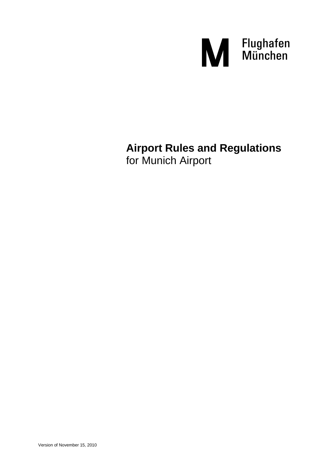

# **Airport Rules and Regulations**  for Munich Airport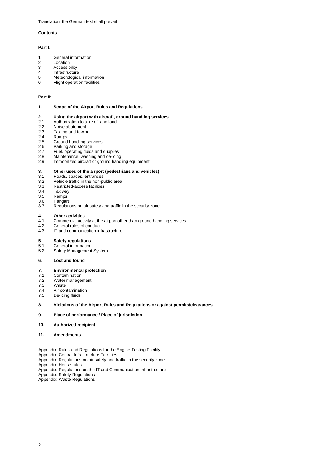# **Contents**

# **Part I:**

- 1. General information<br>2. Location
- 2. Location<br>3. Accessib
- **Accessibility**
- 4. Infrastructure<br>5. Meteorologica
- 5. Meteorological information<br>6. Flight operation facilities Flight operation facilities

# **Part II:**

# **1. Scope of the Airport Rules and Regulations**

# **2. Using the airport with aircraft, ground handling services**

- 2.1. Authorization to take off and land<br>2.2. Noise abatement
- 2.2. Noise abatement<br>2.3. Taxiing and towin
- 2.3. Taxiing and towing<br>2.4. Ramps
- 2.4. Ramps<br>2.5. Ground
- 2.5. Ground handling services<br>2.6. Parking and storage
- 2.6. Parking and storage<br>2.7. Fuel, operating fluids
- 2.7. Fuel, operating fluids and supplies<br>2.8. Maintenance, washing and de-icing
- 2.8. Maintenance, washing and de-icing<br>2.9. Immobilized aircraft or ground hand
- Immobilized aircraft or ground handling equipment

# **3. Other uses of the airport (pedestrians and vehicles)**

- 3.1. Roads, spaces, entrances<br>3.2. Vehicle traffic in the non-pr
- 3.2. Vehicle traffic in the non-public area<br>3.3. Restricted-access facilities
- 3.3. Restricted-access facilities<br>3.4. Taxiway
- 3.4. Taxiway
- 3.5. Ramps<br>3.6. Hangar
- 3.6. Hangars<br>3.7. Regulation
- Regulations on air safety and traffic in the security zone

# **4. Other activities**

- 4.1. Commercial activity at the airport other than ground handling services 4.2. General rules of conduct
- 4.2. General rules of conduct<br>4.3. IT and communication inf
- IT and communication infrastructure

# **5. Safety regulations**

- 5.1. General information<br>5.2. Safety Management
- Safety Management System

# **6. Lost and found**

# **7. Environmental protection**

- 7.1. Contamination<br>7.2. Water manage
- 7.2. Water management<br>7.3. Waste
- 7.3. Waste<br>7.4. Air con
- 7.4. Air contamination<br>7.5. De-icing fluids
- De-icing fluids

# **8. Violations of the Airport Rules and Regulations or against permits/clearances**

# **9. Place of performance / Place of jurisdiction**

# **10. Authorized recipient**

# **11. Amendments**

Appendix: Rules and Regulations for the Engine Testing Facility Appendix: Central Infrastructure Facilities Appendix: Regulations on air safety and traffic in the security zone Appendix: House rules Appendix: Regulations on the IT and Communication Infrastructure Appendix: Safety Regulations Appendix: Waste Regulations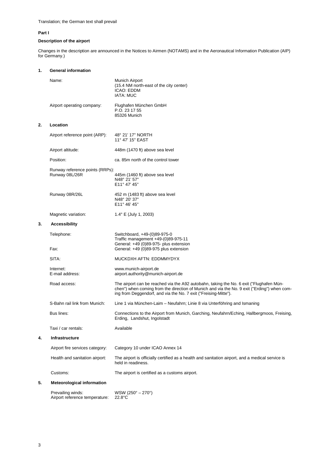# **Part I**

# **Description of the airport**

Changes in the description are announced in the Notices to Airmen (NOTAMS) and in the Aeronautical Information Publication (AIP) for Germany.)

# **1. General information**

|    | Name:                                               | Munich Airport<br>(15.4 NM north-east of the city center)<br>ICAO: EDDM<br><b>IATA: MUC</b>                                                                                                                                                               |  |  |
|----|-----------------------------------------------------|-----------------------------------------------------------------------------------------------------------------------------------------------------------------------------------------------------------------------------------------------------------|--|--|
|    | Airport operating company:                          | Flughafen München GmbH<br>P.O. 23 17 55<br>85326 Munich                                                                                                                                                                                                   |  |  |
| 2. | Location                                            |                                                                                                                                                                                                                                                           |  |  |
|    | Airport reference point (ARP):                      | 48° 21' 17" NORTH<br>11° 47' 15" EAST                                                                                                                                                                                                                     |  |  |
|    | Airport altitude:                                   | 448m (1470 ft) above sea level                                                                                                                                                                                                                            |  |  |
|    | Position:                                           | ca. 85m north of the control tower                                                                                                                                                                                                                        |  |  |
|    | Runway reference points (RRPs):<br>Runway 08L/26R   | 445m (1460 ft) above sea level<br>N48° 21' 57"<br>E11° 47' 45"                                                                                                                                                                                            |  |  |
|    | Runway 08R/26L                                      | 452 m (1483 ft) above sea level<br>N48° 20' 37"<br>E11° 46' 45"                                                                                                                                                                                           |  |  |
|    | Magnetic variation:                                 | $1.4^{\circ}$ E (July 1, 2003)                                                                                                                                                                                                                            |  |  |
| 3. | <b>Accessibility</b>                                |                                                                                                                                                                                                                                                           |  |  |
|    | Telephone:<br>Fax:                                  | Switchboard, +49-(0)89-975-0<br>Traffic management +49-(0)89-975-11<br>General: +49 (0)89-975- plus extension<br>General: +49 (0)89-975 plus extension                                                                                                    |  |  |
|    | SITA:                                               | MUCKDXH AFTN: EDDMMYDYX                                                                                                                                                                                                                                   |  |  |
|    | Internet:<br>E-mail address:                        | www.munich-airport.de<br>airport.authority@munich-airport.de                                                                                                                                                                                              |  |  |
|    | Road access:                                        | The airport can be reached via the A92 autobahn, taking the No. 6 exit ("Flughafen Mün-<br>chen") when coming from the direction of Munich and via the No. 9 exit ("Erding") when com-<br>ing from Deggendorf, and via the No. 7 exit ("Freising-Mitte"). |  |  |
|    | S-Bahn rail link from Munich:                       | Line 1 via München-Laim - Neufahrn; Linie 8 via Unterföhring and Ismaning                                                                                                                                                                                 |  |  |
|    | Bus lines:                                          | Connections to the Airport from Munich, Garching, Neufahrn/Eching, Hallbergmoos, Freising,<br>Erding, Landshut, Ingolstadt                                                                                                                                |  |  |
|    | Taxi / car rentals:                                 | Available                                                                                                                                                                                                                                                 |  |  |
| 4. | Infrastructure                                      |                                                                                                                                                                                                                                                           |  |  |
|    | Airport fire services category:                     | Category 10 under ICAO Annex 14                                                                                                                                                                                                                           |  |  |
|    | Health and sanitation airport:                      | The airport is officially certified as a health and sanitation airport, and a medical service is<br>held in readiness.                                                                                                                                    |  |  |
|    | Customs:                                            | The airport is certified as a customs airport.                                                                                                                                                                                                            |  |  |
| 5. | <b>Meteorological information</b>                   |                                                                                                                                                                                                                                                           |  |  |
|    | Prevailing winds:<br>Airport reference temperature: | WSW (250° – 270°)<br>22.8°C                                                                                                                                                                                                                               |  |  |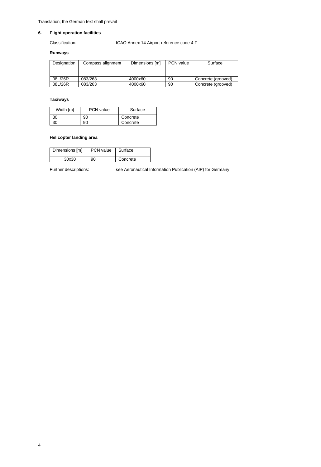# Translation; the German text shall prevail

# **6. Flight operation facilities**

Classification: ICAO Annex 14 Airport reference code 4 F

# **Runways**

| Designation | Compass alignment | Dimensions [m] | PCN value | Surface            |
|-------------|-------------------|----------------|-----------|--------------------|
|             |                   |                |           |                    |
| 08L/26R     | 083/263           | 4000x60        | 90        | Concrete (grooved) |
| 08L/26R     | 083/263           | 4000x60        | 90        | Concrete (grooved) |

# **Taxiways**

| Width [m] | <b>PCN</b> value | Surface  |
|-----------|------------------|----------|
| 30        |                  | Concrete |
| 30        |                  | Concrete |

# **Helicopter landing area**

| Dimensions [m] | PCN value | Surface  |
|----------------|-----------|----------|
| 30x30          | 90        | Concrete |

Further descriptions: see Aeronautical Information Publication (AIP) for Germany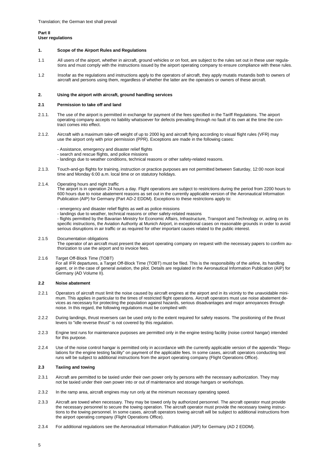#### **Part II User regulations**

# **1. Scope of the Airport Rules and Regulations**

- 1.1 All users of the airport, whether in aircraft, ground vehicles or on foot, are subject to the rules set out in these user regulations and must comply with the instructions issued by the airport operating company to ensure compliance with these rules.
- 1.2 Insofar as the regulations and instructions apply to the operators of aircraft, they apply mutatis mutandis both to owners of aircraft and persons using them, regardless of whether the latter are the operators or owners of these aircraft.

# **2. Using the airport with aircraft, ground handling services**

# **2.1 Permission to take off and land**

- 2.1.1. The use of the airport is permitted in exchange for payment of the fees specified in the Tariff Regulations. The airport operating company accepts no liability whatsoever for defects prevailing through no fault of its own at the time the contract comes into effect.
- 2.1.2. Aircraft with a maximum take-off weight of up to 2000 kg and aircraft flying according to visual flight rules (VFR) may use the airport only with prior permission (PPR). Exceptions are made in the following cases:
	- Assistance, emergency and disaster relief flights
	- search and rescue flights, and police missions
	- landings due to weather conditions, technical reasons or other safety-related reasons.
- 2.1.3. Touch-and-go flights for training, instruction or practice purposes are not permitted between Saturday, 12:00 noon local time and Monday 6:00 a.m. local time or on statutory holidays.
- 2.1.4. Operating hours and night traffic

The airport is in operation 24 hours a day. Flight operations are subject to restrictions during the period from 2200 hours to 600 hours due to noise abatement reasons as set out in the currently applicable version of the Aeronautical Information Publication (AIP) for Germany (Part AD-2 EDDM). Exceptions to these restrictions apply to:

- emergency and disaster relief flights as well as police missions
- landings due to weather, technical reasons or other safety-related reasons

- flights permitted by the Bavarian Ministry for Economic Affairs, Infrastructure, Transport and Technology or, acting on its specific instructions, the Aviation Authority at Munich Airport, in exceptional cases on reasonable grounds in order to avoid serious disruptions in air traffic or as required for other important causes related to the public interest.

# 2.1.5 Documentation obligations

The operator of an aircraft must present the airport operating company on request with the necessary papers to confirm authorization to use the airport and to invoice fees.

# 2.1.6 Target Off-Block Time (TOBT)

For all IFR departures, a Target Off-Block Time (TOBT) must be filed. This is the responsibility of the airline, its handling agent, or in the case of general aviation, the pilot. Details are regulated in the Aeronautical Information Publication (AIP) for Germany (AD Volume II).

# **2.2 Noise abatement**

- 2.2.1 Operators of aircraft must limit the noise caused by aircraft engines at the airport and in its vicinity to the unavoidable minimum. This applies in particular to the times of restricted flight operations. Aircraft operators must use noise abatement devices as necessary for protecting the population against hazards, serious disadvantages and major annoyances through noise. In this regard, the following regulations must be complied with:
- 2.2.2 During landings, thrust reversers can be used only to the extent required for safety reasons. The positioning of the thrust levers to "idle reverse thrust" is not covered by this regulation.
- 2.2.3 Engine test runs for maintenance purposes are permitted only in the engine testing facility (noise control hangar) intended for this purpose.
- 2.2.4 Use of the noise control hangar is permitted only in accordance with the currently applicable version of the appendix "Regulations for the engine testing facility" on payment of the applicable fees. In some cases, aircraft operators conducting test runs will be subject to additional instructions from the airport operating company (Flight Operations Office).

# **2.3 Taxiing and towing**

- 2.3.1 Aircraft are permitted to be taxied under their own power only by persons with the necessary authorization. They may not be taxied under their own power into or out of maintenance and storage hangars or workshops.
- 2.3.2 In the ramp area, aircraft engines may run only at the minimum necessary operating speed.
- 2.3.3 Aircraft are towed when necessary. They may be towed only by authorized personnel. The aircraft operator must provide the necessary personnel to secure the towing operation. The aircraft operator must provide the necessary towing instructions to the towing personnel. In some cases, aircraft operators towing aircraft will be subject to additional instructions from the airport operating company (Flight Operations Office).
- 2.3.4 For additional regulations see the Aeronautical Information Publication (AIP) for Germany (AD 2 EDDM).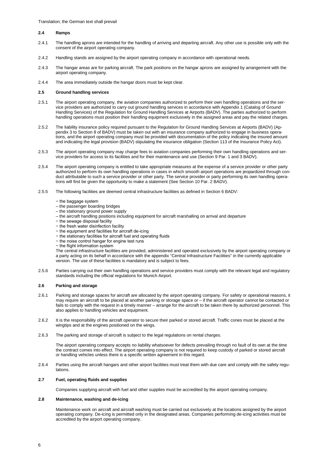## **2.4 Ramps**

- 2.4.1 The handling aprons are intended for the handling of arriving and departing aircraft. Any other use is possible only with the consent of the airport operating company.
- 2.4.2 Handling stands are assigned by the airport operating company in accordance with operational needs.
- 2.4.3 The hangar areas are for parking aircraft. The park positions on the hangar aprons are assigned by arrangement with the airport operating company.
- 2.4.4 The area immediately outside the hangar doors must be kept clear.

# **2.5 Ground handling services**

- 2.5.1 The airport operating company, the aviation companies authorized to perform their own handling operations and the service providers are authorized to carry out ground handling services in accordance with Appendix 1 (Catalog of Ground Handling Services) of the Regulation for Ground Handling Services at Airports (BADV). The parties authorized to perform handling operations must position their handling equipment exclusively in the assigned areas and pay the related charges.
- 2.5.2 The liability insurance policy required pursuant to the Regulation for Ground Handling Services at Airports (BADV) (Appendix 3 to Section 8 of BADV) must be taken out with an insurance company authorized to engage in business operations, and the airport operating company must be provided with documentation of the policy indicating the insured amount and indicating the legal provision (BADV) stipulating the insurance obligation (Section 113 of the Insurance Policy Act).
- 2.5.3 The airport operating company may charge fees to aviation companies performing their own handling operations and service providers for access to its facilities and for their maintenance and use (Section 9 Par. 1 and 3 BADV).
- 2.5.4 The airport operating company is entitled to take appropriate measures at the expense of a service provider or other party authorized to perform its own handling operations in cases in which smooth airport operations are jeopardized through conduct attributable to such a service provider or other party. The service provider or party performing its own handling operations will first be given the opportunity to make a statement (See Section 10 Par. 2 BADV).
- 2.5.5 The following facilities are deemed central infrastructure facilities as defined in Section 6 BADV:
	- − the baggage system
	- the passenger boarding bridges
	- the stationary ground power supply
	- the aircraft handling positions including equipment for aircraft marshalling on arrival and departure
	- − the sewage disposal facility
	- − the fresh water disinfection facility
	- − the equipment and facilities for aircraft de-icing
	- − the stationary facilities for aircraft fuel and operating fluids
	- − the noise control hangar for engine test runs
	- − the flight information system

The central infrastructure facilities are provided, administered and operated exclusively by the airport operating company or a party acting on its behalf in accordance with the appendix "Central Infrastructure Facilities" in the currently applicable version. The use of these facilities is mandatory and is subject to fees.

2.5.6 Parties carrying out their own handling operations and service providers must comply with the relevant legal and regulatory standards including the official regulations for Munich Airport.

#### **2.6 Parking and storage**

- 2.6.1 Parking and storage spaces for aircraft are allocated by the airport operating company. For safety or operational reasons, it may require an aircraft to be placed at another parking or storage space or – if the aircraft operator cannot be contacted or fails to comply with the request in a timely manner – arrange for the aircraft to be taken there by authorized personnel. This also applies to handling vehicles and equipment.
- 2.6.2 It is the responsibility of the aircraft operator to secure their parked or stored aircraft. Traffic cones must be placed at the wingtips and at the engines positioned on the wings.
- 2.6.3 The parking and storage of aircraft is subject to the legal regulations on rental charges.

The airport operating company accepts no liability whatsoever for defects prevailing through no fault of its own at the time the contract comes into effect. The airport operating company is not required to keep custody of parked or stored aircraft or handling vehicles unless there is a specific written agreement in this regard.

2.6.4 Parties using the aircraft hangars and other airport facilities must treat them with due care and comply with the safety regulations.

# **2.7 Fuel, operating fluids and supplies**

Companies supplying aircraft with fuel and other supplies must be accredited by the airport operating company.

# **2.8 Maintenance, washing and de-icing**

Maintenance work on aircraft and aircraft washing must be carried out exclusively at the locations assigned by the airport operating company. De-icing is permitted only in the designated areas. Companies performing de-icing activities must be accredited by the airport operating company.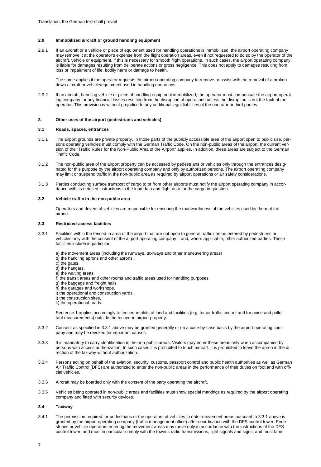# **2.9 Immobilized aircraft or ground handling equipment**

2.9.1 If an aircraft or a vehicle or piece of equipment used for handling operations is immobilized, the airport operating company may remove it at the operator's expense from the flight operation areas, even if not requested to do so by the operator of the aircraft, vehicle or equipment, if this is necessary for smooth flight operations. In such cases, the airport operating company is liable for damages resulting from deliberate actions or gross negligence. This does not apply to damages resulting from loss or impairment of life, bodily harm or damage to health.

The same applies if the operator requests the airport operating company to remove or assist with the removal of a broken down aircraft or vehicle/equipment used in handling operations.

2.9.2 If an aircraft, handling vehicle or piece of handling equipment immobilized, the operator must compensate the airport operating company for any financial losses resulting from the disruption of operations unless the disruption is not the fault of the operator. This provision is without prejudice to any additional legal liabilities of the operator or third parties.

# **3. Other uses of the airport (pedestrians and vehicles)**

#### **3.1 Roads, spaces, entrances**

- 3.1.1 The airport grounds are private property. In those parts of the publicly accessible area of the airport open to public use, persons operating vehicles must comply with the German Traffic Code. On the non-public areas of the airport, the current version of the "Traffic Rules for the Non-Public Area of the Airport" applies. In addition, these areas are subject to the German Traffic Code.
- 3.1.2 The non-public area of the airport property can be accessed by pedestrians or vehicles only through the entrances designated for this purpose by the airport operating company and only by authorized persons. The airport operating company may limit or suspend traffic in the non-public area as required by airport operations or air safety considerations.
- 3.1.3 Parties conducting surface transport of cargo to or from other airports must notify the airport operating company in accordance with its detailed instructions in the load data and flight data for the cargo in question.

#### **3.2 Vehicle traffic in the non-public area**

Operators and drivers of vehicles are responsible for ensuring the roadworthiness of the vehicles used by them at the airport.

#### **3.3 Restricted-access facilities**

3.3.1 Facilities within the fenced-in area of the airport that are not open to general traffic can be entered by pedestrians or vehicles only with the consent of the airport operating company – and, where applicable, other authorized parties. These facilities include in particular:

a) the movement areas (including the runways, taxiways and other maneuvering areas)

- b) the handling aprons and other aprons,
- c) the gates,
- d) the hangars,
- e) the waiting areas,
- f) the transit areas and other rooms and traffic areas used for handling purposes,
- g) the baggage and freight halls,
- h) the garages and workshops,
- i) the operational and construction yards,
- j) the construction sites,
- k) the operational roads.

Sentence 1 applies accordingly to fenced-in plots of land and facilities (e.g. for air traffic control and for noise and pollutant measurements) outside the fenced-in airport property.

- 3.3.2 Consent as specified in 3.3.1 above may be granted generally or on a case-by-case basis by the airport operating company and may be revoked for important causes.
- 3.3.3 It is mandatory to carry identification in the non-public areas. Visitors may enter these areas only when accompanied by persons with access authorization. In such cases it is prohibited to touch aircraft. It is prohibited to leave the apron in the direction of the taxiway without authorization.
- 3.3.4 Persons acting on behalf of the aviation, security, customs, passport control and public health authorities as well as German Air Traffic Control (DFS) are authorized to enter the non-public areas in the performance of their duties on foot and with official vehicles.
- 3.3.5 Aircraft may be boarded only with the consent of the party operating the aircraft.
- 3.3.6 Vehicles being operated in non-public areas and facilities must show special markings as required by the airport operating company and fitted with security devices.

#### **3.4 Taxiway**

3.4.1 The permission required for pedestrians or the operators of vehicles to enter movement areas pursuant to 3.3.1 above is granted by the airport operating company (traffic management office) after coordination with the DFS control tower. Pedestrians or vehicle operators entering the movement areas may move only in accordance with the instructions of the DFS control tower, and must in particular comply with the tower's radio transmissions, light signals and signs, and must fami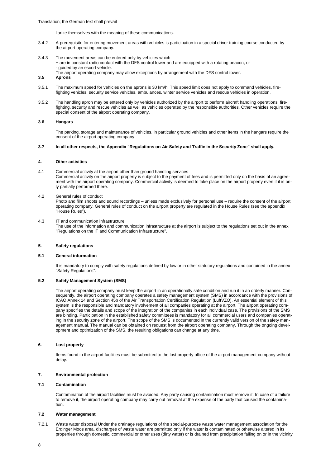liarize themselves with the meaning of these communications.

- 3.4.2 A prerequisite for entering movement areas with vehicles is participation in a special driver training course conducted by the airport operating company.
- 3.4.3 The movement areas can be entered only by vehicles which − are in constant radio contact with the DFS control tower and are equipped with a rotating beacon, or - guided by an escort vehicle. The airport operating company may allow exceptions by arrangement with the DFS control tower.

# **3.5 Aprons**

- 3.5.1 The maximum speed for vehicles on the aprons is 30 km/h. This speed limit does not apply to command vehicles, firefighting vehicles, security service vehicles, ambulances, winter service vehicles and rescue vehicles in operation.
- 3.5.2 The handling apron may be entered only by vehicles authorized by the airport to perform aircraft handling operations, firefighting, security and rescue vehicles as well as vehicles operated by the responsible authorities. Other vehicles require the special consent of the airport operating company.

### **3.6 Hangars**

The parking, storage and maintenance of vehicles, in particular ground vehicles and other items in the hangars require the consent of the airport operating company.

### **3.7 In all other respects, the Appendix "Regulations on Air Safety and Traffic in the Security Zone" shall apply.**

#### **4. Other activities**

4.1 Commercial activity at the airport other than ground handling services Commercial activity on the airport property is subject to the payment of fees and is permitted only on the basis of an agreement with the airport operating company. Commercial activity is deemed to take place on the airport property even if it is only partially performed there.

# 4.2 General rules of conduct

Photo and film shoots and sound recordings – unless made exclusively for personal use – require the consent of the airport operating company. General rules of conduct on the airport property are regulated in the House Rules (see the appendix "House Rules").

4.3 IT and communication infrastructure The use of the information and communication infrastructure at the airport is subject to the regulations set out in the annex "Regulations on the IT and Communication Infrastructure".

#### **5. Safety regulations**

# **5.1 General information**

It is mandatory to comply with safety regulations defined by law or in other statutory regulations and contained in the annex "Safety Regulations".

# **5.2 Safety Management System (SMS)**

The airport operating company must keep the airport in an operationally safe condition and run it in an orderly manner. Consequently, the airport operating company operates a safety management system (SMS) in accordance with the provisions of ICAO Annex 14 and Section 45b of the Air Transportation Certification Regulation (LuftVZO). An essential element of this system is the responsible and mandatory involvement of all companies operating at the airport. The airport operating company specifies the details and scope of the integration of the companies in each individual case. The provisions of the SMS are binding. Participation in the established safety committees is mandatory for all commercial users and companies operating in the security zone of the airport. The scope of the SMS is documented in the currently valid version of the safety management manual. The manual can be obtained on request from the airport operating company. Through the ongoing development and optimization of the SMS, the resulting obligations can change at any time.

#### **6. Lost property**

Items found in the airport facilities must be submitted to the lost property office of the airport management company without delay.

# **7. Environmental protection**

# **7.1 Contamination**

Contamination of the airport facilities must be avoided. Any party causing contamination must remove it. In case of a failure to remove it, the airport operating company may carry out removal at the expense of the party that caused the contamination.

#### **7.2 Water management**

7.2.1 Waste water disposal Under the drainage regulations of the special-purpose waste water management association for the Erdinger Moos area, discharges of waste water are permitted only if the water is contaminated or otherwise altered in its properties through domestic, commercial or other uses (dirty water) or is drained from precipitation falling on or in the vicinity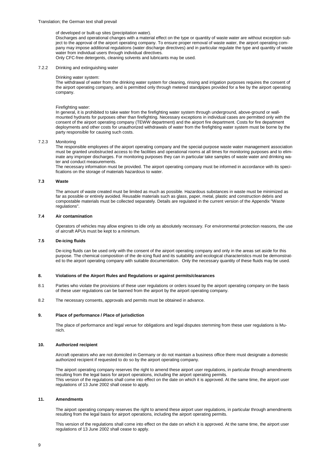of developed or built-up sites (precipitation water).

Discharges and operational changes with a material effect on the type or quantity of waste water are without exception subject to the approval of the airport operating company. To ensure proper removal of waste water, the airport operating company may impose additional regulations (water discharge directives) and in particular regulate the type and quantity of waste water from individual users through individual directives.

Only CFC-free detergents, cleaning solvents and lubricants may be used.

# 7.2.2 Drinking and extinguishing water

# Drinking water system:

The withdrawal of water from the drinking water system for cleaning, rinsing and irrigation purposes requires the consent of the airport operating company, and is permitted only through metered standpipes provided for a fee by the airport operating company.

### Firefighting water:

In general, it is prohibited to take water from the firefighting water system through underground, above-ground or wallmounted hydrants for purposes other than firefighting. Necessary exceptions in individual cases are permitted only with the consent of the airport operating company (TEWW department) and the airport fire department. Costs for fire department deployments and other costs for unauthorized withdrawals of water from the firefighting water system must be borne by the party responsible for causing such costs.

# 7.2.3 Monitoring

The responsible employees of the airport operating company and the special-purpose waste water management association must be granted unobstructed access to the facilities and operational rooms at all times for monitoring purposes and to eliminate any improper discharges. For monitoring purposes they can in particular take samples of waste water and drinking water and conduct measurements.

The necessary information must be provided. The airport operating company must be informed in accordance with its specifications on the storage of materials hazardous to water.

#### **7.3 Waste**

The amount of waste created must be limited as much as possible. Hazardous substances in waste must be minimized as far as possible or entirely avoided. Reusable materials such as glass, paper, metal, plastic and construction debris and compostable materials must be collected separately. Details are regulated in the current version of the Appendix "Waste regulations".

# **7.4 Air contamination**

Operators of vehicles may allow engines to idle only as absolutely necessary. For environmental protection reasons, the use of aircraft APUs must be kept to a minimum.

#### **7.5 De-icing fluids**

De-icing fluids can be used only with the consent of the airport operating company and only in the areas set aside for this purpose. The chemical composition of the de-icing fluid and its suitability and ecological characteristics must be demonstrated to the airport operating company with suitable documentation. Only the necessary quantity of these fluids may be used.

#### **8. Violations of the Airport Rules and Regulations or against permits/clearances**

- 8.1 Parties who violate the provisions of these user regulations or orders issued by the airport operating company on the basis of these user regulations can be banned from the airport by the airport operating company.
- 8.2 The necessary consents, approvals and permits must be obtained in advance.

# **9. Place of performance / Place of jurisdiction**

The place of performance and legal venue for obligations and legal disputes stemming from these user regulations is Munich.

# **10. Authorized recipient**

Aircraft operators who are not domiciled in Germany or do not maintain a business office there must designate a domestic authorized recipient if requested to do so by the airport operating company.

The airport operating company reserves the right to amend these airport user regulations, in particular through amendments resulting from the legal basis for airport operations, including the airport operating permits. This version of the regulations shall come into effect on the date on which it is approved. At the same time, the airport user regulations of 13 June 2002 shall cease to apply.

#### **11. Amendments**

The airport operating company reserves the right to amend these airport user regulations, in particular through amendments resulting from the legal basis for airport operations, including the airport operating permits.

This version of the regulations shall come into effect on the date on which it is approved. At the same time, the airport user regulations of 13 June 2002 shall cease to apply.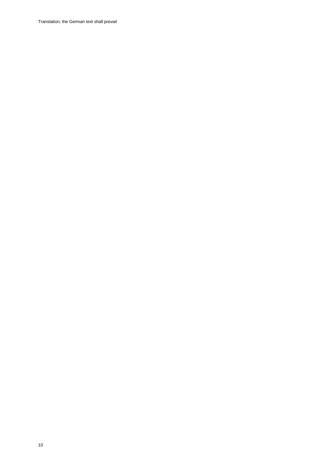Translation; the German text shall prevail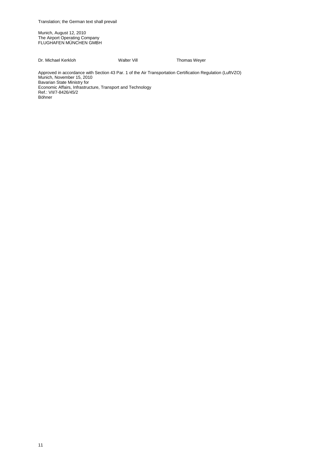Munich, August 12, 2010 The Airport Operating Company FLUGHAFEN MÜNCHEN GMBH

Dr. Michael Kerkloh **Walter Vill** Walter Vill Thomas Weyer

Approved in accordance with Section 43 Par. 1 of the Air Transportation Certification Regulation (LuftVZO) Munich, November 15, 2010 Bavarian State Ministry for Economic Affairs, Infrastructure, Transport and Technology Ref.: VII/7-8426/45/2 Böhner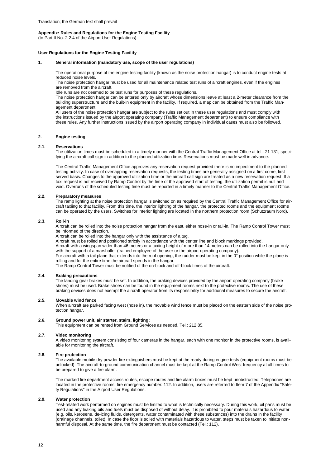# **Appendix: Rules and Regulations for the Engine Testing Facility**

(to Part II No. 2.2.4 of the Airport User Regulations)

#### **User Regulations for the Engine Testing Facility**

#### **1. General information (mandatory use, scope of the user regulations)**

The operational purpose of the engine testing facility (known as the noise protection hangar) is to conduct engine tests at reduced noise levels.

The noise protection hangar must be used for all maintenance related test runs of aircraft engines, even if the engines are removed from the aircraft.

Idle runs are not deemed to be test runs for purposes of these regulations.

The noise protection hangar can be entered only by aircraft whose dimensions leave at least a 2-meter clearance from the building superstructure and the built-in equipment in the facility. If required, a map can be obtained from the Traffic Management department.

All users of the noise protection hangar are subject to the rules set out in these user regulations and must comply with the instructions issued by the airport operating company (Traffic Management department) to ensure compliance with these rules. Any further instructions issued by the airport operating company in individual cases must also be followed.

# **2. Engine testing**

# **2.1. Reservations**

The utilization times must be scheduled in a timely manner with the Central Traffic Management Office at tel.: 21 131, specifying the aircraft call sign in addition to the planned utilization time. Reservations must be made well in advance.

The Central Traffic Management Office approves any reservation request provided there is no impediment to the planned testing activity. In case of overlapping reservation requests, the testing times are generally assigned on a first come, first served basis. Changes to the approved utilization time or the aircraft call sign are treated as a new reservation request. If a taxi request is not received by Ramp Control by the time of the approved start of testing, the utilization permit is null and void. Overruns of the scheduled testing time must be reported in a timely manner to the Central Traffic Management Office.

# **2.2. Preparatory measures**

The ramp lighting at the noise protection hangar is switched on as required by the Central Traffic Management Office for aircraft taxiing to that facility. From this time, the interior lighting of the hangar, the protected rooms and the equipment rooms can be operated by the users. Switches for interior lighting are located in the northern protection room (Schutzraum Nord).

#### **2.3. Roll-in**

Aircraft can be rolled into the noise protection hangar from the east, either nose-in or tail-in. The Ramp Control Tower must be informed of the direction.

Aircraft can be rolled into the hangar only with the assistance of a tug.

Aircraft must be rolled and positioned strictly in accordance with the center line and block markings provided.

Aircraft with a wingspan wider than 46 meters or a taxiing height of more than 14 meters can be rolled into the hangar only with the support of a marshaller (trained employee of the user or the airport operating company).

For aircraft with a tail plane that extends into the roof opening, the rudder must be kept in the 0° position while the plane is rolling and for the entire time the aircraft spends in the hangar.

The Ramp Control Tower must be notified of the on-block and off-block times of the aircraft.

#### **2.4. Braking precautions**

The landing gear brakes must be set. In addition, the braking devices provided by the airport operating company (brake shoes) must be used. Brake shoes can be found in the equipment rooms next to the protective rooms. The use of these braking devices does not exempt the aircraft operator from its responsibility for additional measures to secure the aircraft.

# **2.5. Movable wind fence**

When aircraft are parked facing west (nose in), the movable wind fence must be placed on the eastern side of the noise protection hangar.

#### **2.6. Ground power unit, air starter, stairs, lighting:**

This equipment can be rented from Ground Services as needed. Tel.: 212 85.

# **2.7. Video monitoring**

A video monitoring system consisting of four cameras in the hangar, each with one monitor in the protective rooms, is available for monitoring the aircraft.

# **2.8. Fire protection**

The available mobile dry powder fire extinguishers must be kept at the ready during engine tests (equipment rooms must be unlocked). The aircraft-to-ground communication channel must be kept at the Ramp Control West frequency at all times to be prepared to give a fire alarm.

The marked fire department access routes, escape routes and fire alarm boxes must be kept unobstructed. Telephones are located in the protective rooms; fire emergency number: 112. In addition, users are referred to Item 7 of the Appendix "Safety Regulations" in the Airport User Regulations.

#### **2.9. Water protection**

Test-related work performed on engines must be limited to what is technically necessary. During this work, oil pans must be used and any leaking oils and fuels must be disposed of without delay. It is prohibited to pour materials hazardous to water (e.g. oils, kerosene, de-icing fluids, detergents, water contaminated with these substances) into the drains in the facility (drainage channels, toilet). In case the floor is soiled with materials hazardous to water, steps must be taken to initiate nonharmful disposal. At the same time, the fire department must be contacted (Tel.: 112).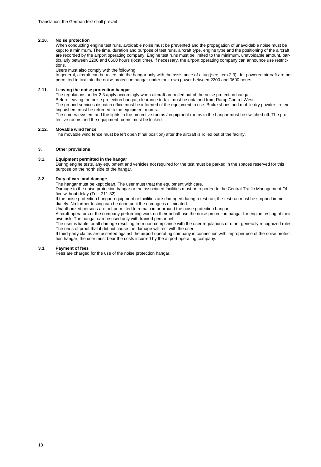# **2.10. Noise protection**

When conducting engine test runs, avoidable noise must be prevented and the propagation of unavoidable noise must be kept to a minimum. The time, duration and purpose of test runs, aircraft type, engine type and the positioning of the aircraft are recorded by the airport operating company. Engine test runs must be limited to the minimum, unavoidable amount, particularly between 2200 and 0600 hours (local time). If necessary, the airport operating company can announce use restrictions.

Users must also comply with the following:

In general, aircraft can be rolled into the hangar only with the assistance of a tug (see Item 2.3). Jet-powered aircraft are not permitted to taxi into the noise protection hangar under their own power between 2200 and 0600 hours.

# **2.11. Leaving the noise protection hangar**

The regulations under 2.3 apply accordingly when aircraft are rolled out of the noise protection hangar.

Before leaving the noise protection hangar, clearance to taxi must be obtained from Ramp Control West.

The ground services dispatch office must be informed of the equipment in use. Brake shoes and mobile dry powder fire extinguishers must be returned to the equipment rooms.

The camera system and the lights in the protective rooms / equipment rooms in the hangar must be switched off. The protective rooms and the equipment rooms must be locked.

## **2.12. Movable wind fence**

The movable wind fence must be left open (final position) after the aircraft is rolled out of the facility.

# **3. Other provisions**

# **3.1. Equipment permitted in the hangar**

During engine tests, any equipment and vehicles not required for the test must be parked in the spaces reserved for this purpose on the north side of the hangar.

## **3.2. Duty of care and damage**

The hangar must be kept clean. The user must treat the equipment with care.

Damage to the noise protection hangar or the associated facilities must be reported to the Central Traffic Management Office without delay (Tel.: 211 32).

If the noise protection hangar, equipment or facilities are damaged during a test run, the test run must be stopped immediately. No further testing can be done until the damage is eliminated.

Unauthorized persons are not permitted to remain in or around the noise protection hangar.

Aircraft operators or the company performing work on their behalf use the noise protection hangar for engine testing at their own risk. The hangar can be used only with trained personnel.

The user is liable for all damage resulting from non-compliance with the user regulations or other generally recognized rules. The onus of proof that it did not cause the damage will rest with the user.

If third-party claims are asserted against the airport operating company in connection with improper use of the noise protection hangar, the user must bear the costs incurred by the airport operating company.

# **3.3. Payment of fees**

Fees are charged for the use of the noise protection hangar.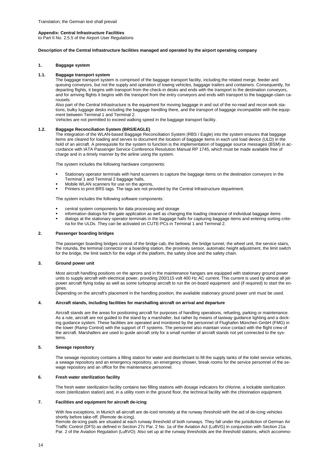# **Appendix: Central Infrastructure Facilities**

to Part II No. 2.5.5 of the Airport User Regulations

# **Description of the Central Infrastructure facilities managed and operated by the airport operating company**

#### **1. Baggage system**

#### **1.1. Baggage transport system**

The baggage transport system is comprised of the baggage transport facility, including the related merge, feeder and queuing conveyors, but not the supply and operation of towing vehicles, baggage trailers and containers. Consequently, for departing flights, it begins with transport from the check-in desks and ends with the transport to the destination conveyors, and for arriving flights it begins with the transport from the entry conveyors and ends with transport to the baggage-claim carousels.

Also part of the Central Infrastructure is the equipment for moving baggage in and out of the no-read and recon work stations, bulky luggage desks including the baggage handling there, and the transport of baggage incompatible with the equipment between Terminal 1 and Terminal 2.

Vehicles are not permitted to exceed walking speed in the baggage transport facility.

## **1.2. Baggage Reconciliation System (BRS/EAGLE)**

The integration of the WLAN-based Baggage Reconciliation System (RBS / Eagle) into the system ensures that baggage items are cleared for loading and serves to document the location of baggage items in each unit load device (ULD) in the hold of an aircraft. A prerequisite for the system to function is the implementation of baggage source messages (BSM) in accordance with IATA Passenger Service Conference Resolution Manual RP 1745, which must be made available free of charge and in a timely manner by the airline using the system.

The system includes the following hardware components:

- Stationary operator terminals with hand scanners to capture the baggage items on the destination conveyors in the Terminal 1 and Terminal 2 baggage halls,
- Mobile WLAN scanners for use on the aprons,
- Printers to print BRS tags. The tags are not provided by the Central Infrastructure department.

The system includes the following software components:

- central system components for data processing and storage
- information dialogs for the gate application as well as changing the loading clearance of individual baggage items
- dialogs at the stationary operator terminals in the baggage halls for capturing baggage items and entering sorting criteria for the ULDs. They can be activated on CUTE-PCs in Terminal 1 and Terminal 2.

# **2. Passenger boarding bridges**

The passenger boarding bridges consist of the bridge cab, the bellows, the bridge tunnel, the wheel unit, the service stairs, the rotunda, the terminal connector or a boarding station, the proximity sensor, automatic height adjustment, the limit switch for the bridge, the limit switch for the edge of the platform, the safety shoe and the safety chain.

#### **3. Ground power unit**

Most aircraft handling positions on the aprons and in the maintenance hangars are equipped with stationary ground power units to supply aircraft with electrical power, providing 200/115 volt 400 Hz AC current. This current is used by almost all jetpower aircraft flying today as well as some turboprop aircraft to run the on-board equipment and (if required) to start the engines.

Depending on the aircraft's placement in the handling position, the available stationary ground power unit must be used.

# **4. Aircraft stands, including facilities for marshalling aircraft on arrival and departure**

Aircraft stands are the areas for positioning aircraft for purposes of handling operations, refueling, parking or maintenance. As a rule, aircraft are not guided to the stand by a marshaller, but rather by means of taxiway guidance lighting and a docking guidance system. These facilities are operated and monitored by the personnel of Flughafen München GmbH (FMG) in the tower (Ramp Control) with the support of IT systems. The personnel also maintain voice contact with the flight crew of the aircraft. Marshallers are used to guide aircraft only for a small number of aircraft stands not yet connected to the systems.

# **5. Sewage repository**

The sewage repository contains a filling station for water and disinfectant to fill the supply tanks of the toilet service vehicles, a sewage repository and an emergency repository, an emergency shower, break rooms for the service personnel of the sewage repository and an office for the maintenance personnel.

#### **6. Fresh water sterilization facility**

The fresh water sterilization facility contains two filling stations with dosage indicators for chlorine, a lockable sterilization room (sterilization station) and, in a utility room in the ground floor, the technical facility with the chlorination equipment.

# **7. Facilities and equipment for aircraft de-icing**

With few exceptions, in Munich all aircraft are de-iced remotely at the runway threshold with the aid of de-icing vehicles shortly before take-off. (Remote de-icing).

Remote de-icing pads are situated at each runway threshold of both runways. They fall under the jurisdiction of German Air Traffic Control (DFS) as defined in Section 27c Par. 2 No. 1a of the Aviation Act (LuftVG) in conjunction with Section 21a Par. 2 of the Aviation Regulation (LuftVO): Also set up at the runway thresholds are the threshold stations, which accommo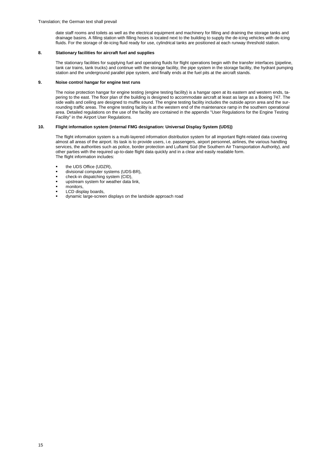date staff rooms and toilets as well as the electrical equipment and machinery for filling and draining the storage tanks and drainage basins. A filling station with filling hoses is located next to the building to supply the de-icing vehicles with de-icing fluids. For the storage of de-icing fluid ready for use, cylindrical tanks are positioned at each runway threshold station.

# **8. Stationary facilities for aircraft fuel and supplies**

The stationary facilities for supplying fuel and operating fluids for flight operations begin with the transfer interfaces (pipeline, tank car trains, tank trucks) and continue with the storage facility, the pipe system in the storage facility, the hydrant pumping station and the underground parallel pipe system, and finally ends at the fuel pits at the aircraft stands.

# **9. Noise control hangar for engine test runs**

The noise protection hangar for engine testing (engine testing facility) is a hangar open at its eastern and western ends, tapering to the east. The floor plan of the building is designed to accommodate aircraft at least as large as a Boeing 747. The side walls and ceiling are designed to muffle sound. The engine testing facility includes the outside apron area and the surrounding traffic areas. The engine testing facility is at the western end of the maintenance ramp in the southern operational area. Detailed regulations on the use of the facility are contained in the appendix "User Regulations for the Engine Testing Facility" in the Airport User Regulations.

# **10. Flight information system (internal FMG designation: Universal Display System (UDS))**

The flight information system is a multi-layered information distribution system for all important flight-related data covering almost all areas of the airport. Its task is to provide users, i.e. passengers, airport personnel, airlines, the various handling services, the authorities such as police, border protection and Luftamt Süd (the Southern Air Transportation Authority), and other parties with the required up-to-date flight data quickly and in a clear and easily readable form. The flight information includes:

- the UDS Office (UDZR),
- divisional computer systems (UDS-BR),
- check-in dispatching system (CID),
- upstream system for weather data link,
- **n**onitors,
- LCD display boards,
- dynamic large-screen displays on the landside approach road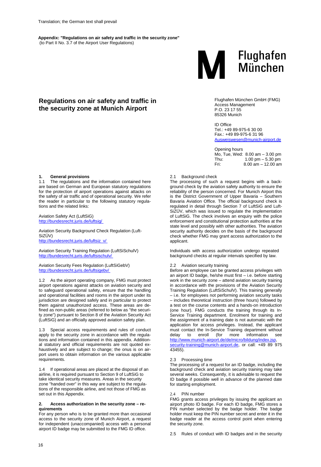**Appendix: "Regulations on air safety and traffic in the security zone"**  (to Part II No. 3.7 of the Airport User Regulations)

# **Regulations on air safety and traffic in the security zone at Munich Airport**



Flughafen München GmbH (FMG) Access Management P.O. 23 17 55 85326 Munich

ID Office Tel.: +49 89-975-6 30 00 Fax.: +49 89-975-6 31 96 [Ausweiswesen@munich-airport.de](mailto:Ausweiswesen@munich-airport.de)

Opening hours Mo, Tue, Wed: 8.00 am – 3.00 pm Thu: 1.00 pm – 5.30 pm<br>Fri: 8.00 am – 12.00 am  $8.00 \text{ am} - 12.00 \text{ am}$ 

## **1. General provisions**

1.1 The regulations and the information contained here are based on German and European statutory regulations for the protection of airport operations against attacks on the safety of air traffic and of operational security. We refer the reader in particular to the following statutory regulations and the related links:

Aviation Safety Act (LuftSiG) <http://bundesrecht.juris.de/luftsig/>

Aviation Security Background Check Regulation (Luft-SiZÜV) http://bundesrecht.juris.de/luftsiz\_v/

Aviation Security Training Regulation (LuftSiSchulV) <http://bundesrecht.juris.de/luftsischulv/>

Aviation Security Fees Regulation (LuftSiGebV) http://bundesrecht.juris.de/luftsigebv

1.2 As the airport operating company, FMG must protect airport operations against attacks on aviation security and to safeguard operational safety, ensure that the handling and operational facilities and rooms in the airport under its jurisdiction are designed safely and in particular to protect them against unauthorized access. These areas are defined as non-public areas (referred to below as "the security zone") pursuant to Section 8 of the Aviation Security Act (LuftSiG) and an officially approved aviation safety plan.

Special access requirements and rules of conduct apply to the security zone in accordance with the regulations and information contained in this appendix. Additional statutory and official requirements are not quoted exhaustively and are subject to change; the onus is on airport users to obtain information on the various applicable requirements.

1.4 If operational areas are placed at the disposal of an airline, it is required pursuant to Section 9 of LuftSiG to take identical security measures. Areas in the security zone "handed over" in this way are subject to the regulations of the responsible airline, and not those of FMG as set out in this Appendix.

#### **2. Access authorization in the security zone – requirements**

For any person who is to be granted more than occasional access to the security zone of Munich Airport, a request for independent (unaccompanied) access with a personal airport ID badge may be submitted to the FMG ID office.

## 2.1 Background check

The processing of such a request begins with a background check by the aviation safety authority to ensure the reliability of the person concerned. For Munich Airport this is the District Government of Upper Bavaria – Southern Bavaria Aviation Office. The official background check is regulated in detail through Section 7 of LuftSiG and Luft-SiZÜV, which was issued to regulate the implementation of LuftSiG. The check involves an enquiry with the police enforcement and constitutional protection authorities at the state level and possibly with other authorities. The aviation security authority decides on the basis of the background check whether FMG may grant access authorization to the applicant.

Individuals with access authorization undergo repeated background checks at regular intervals specified by law.

#### 2.2 Aviation security training

Before an employee can be granted access privileges with an airport ID badge, he/she must first – i.e. before starting work in the security zone – attend aviation security training in accordance with the provisions of the Aviation Security Training Regulation (LuftSiSchulV). This training generally – i.e. for employees not performing aviation security tasks – includes theoretical instruction (three hours) followed by a test on the course contents and a hands-on introduction (one hour). FMG conducts the training through its In-Service Training department. Enrolment for training and the assignment of a training date is not automatic with the application for access privileges. Instead, the applicant must contact the In-Service Training department without delay to enroll (for more information see http://www.munich-airport.de/de/micro/bildung/index.jsp [security-training@munich-airport.de,](mailto:security-training@munich-airport.de) or call: +49 89 975 43455).

#### 2.3 Processing time

The processing of a request for an ID badge, including the background check and aviation security training may take several weeks. Consequently, it is advisable to request the ID badge if possible well in advance of the planned date for starting employment.

# 2.4 PIN number

FMG grants access privileges by issuing the applicant an airport photo ID badge. For each ID badge, FMG stores a PIN number selected by the badge holder. The badge holder must keep the PIN number secret and enter it in the badge reader at the access control point when entering the security zone.

2.5 Rules of conduct with ID badges and in the security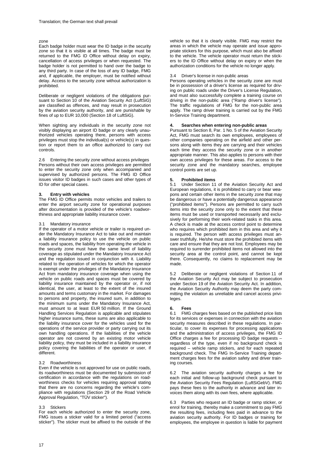#### zone

Each badge holder must wear the ID badge in the security zone so that it is visible at all times. The badge must be returned to the FMG ID Office without delay on expiry, cancellation of access privileges or when requested. The badge holder is not permitted to hand over the badge to any third party. In case of the loss of any ID badge, FMG and, if applicable, the employer, must be notified without delay. Access to the security zone without authorization is prohibited.

Deliberate or negligent violations of the obligations pursuant to Section 10 of the Aviation Security Act (LuftSiG) are classified as offences, and may result in prosecution by the aviation security authority, and are punishable by fines of up to EUR 10,000 (Section 18 of LuftSiG).

When sighting any individuals in the security zone not visibly displaying an airport ID badge or any clearly unauthorized vehicles operating there, persons with access privileges must stop the individual(s) or vehicle(s) in question or report them to an office authorized to carry out controls.

2.6 Entering the security zone without access privileges Persons without their own access privileges are permitted to enter the security zone only when accompanied and supervised by authorized persons. The FMG ID Office issues visitor ID badges in such cases and other types of ID for other special cases.

# **3. Entry with vehicles**

The FMG ID Office permits motor vehicles and trailers to enter the airport security zone for operational purposes after documentation is provided of the vehicle's roadworthiness and appropriate liability insurance cover.

#### 3.1 Mandatory insurance

If the operator of a motor vehicle or trailer is required under the Mandatory Insurance Act to take out and maintain a liability insurance policy to use the vehicle on public roads and spaces, the liability from operating the vehicle in the security zone must have the same level of liability coverage as stipulated under the Mandatory Insurance Act and the regulation issued in conjunction with it. Liability related to the operation of vehicles for which the operator is exempt under the privileges of the Mandatory Insurance Act from mandatory insurance coverage when using the vehicle on public roads and spaces must be covered by liability insurance maintained by the operator or, if not identical, the user, at least to the extent of the insured amounts and terms customary in the market. For damages to persons and property, the insured sum, in addition to the minimum sums under the Mandatory Insurance Act, must amount to at least EUR 50 million. If the Ground Handling Services Regulation is applicable and stipulates higher insurance sums, these sums are also applicable to the liability insurance cover for the vehicles used for the operations of the service provider or party carrying out its own handling operations. If the liabilities of the vehicle operator are not covered by an existing motor vehicle liability policy, they must be included in a liability insurance policy covering the liabilities of the operator or user, if different.

#### 3.2 Roadworthiness

Even if the vehicle is not approved for use on public roads, its roadworthiness must be documented by submission of certification in accordance with the regulations on roadworthiness checks for vehicles requiring approval stating that there are no concerns regarding the vehicle's compliance with regulations (Section 29 of the Road Vehicle Approval Regulation, "TÜV sticker").

#### 3.3 Stickers

For each vehicle authorized to enter the security zone, FMG issues a sticker valid for a limited period ("access sticker"). The sticker must be affixed to the outside of the

vehicle so that it is clearly visible. FMG may restrict the areas in which the vehicle may operate and issue appropriate stickers for this purpose, which must also be affixed to the vehicle. The vehicle operator must return the stickers to the ID Office without delay on expiry or when the authorization conditions for the vehicle no longer apply.

#### 3.4 Driver's license in non-public areas

Persons operating vehicles in the security zone are must be in possession of a driver's license as required for driving on public roads under the Driver's License Regulation, and must also successfully complete a training course on driving in the non-public area ("Ramp driver's license"). The traffic regulations of FMG for the non-public area apply. The ramp driver training is carried out by the FMG In-Service Training department.

#### **4. Searches when entering non-public areas**

Pursuant to Section 8, Par. 1 No. 5 of the Aviation Security Act, FMG must search its own employees, employees of other companies operating on the airfield and other persons along with items they are carrying and their vehicles each time they access the security zone or in another appropriate manner. This also applies to persons with their own access privileges for these areas. For access to the security zone and the mandatory searches, employee control points are set up.

# **5. Prohibited items**

Under Section 11 of the Aviation Security Act and European regulations, it is prohibited to carry or bear weapons and certain other items in the security zone that may be dangerous or have a potentially dangerous appearance ("prohibited items"). Persons are permitted to carry such items into the security zone only to the extent that these items must be used or transported necessarily and exclusively for performing their work-related tasks in this area. A check is made at the access control point to determine who requires which prohibited item in this area and why it is required. The person with access privileges must answer truthfully. He/she must store the prohibited items with care and ensure that they are not lost. Employees may be required to surrender prohibited items not allowed into the security area at the control point, and cannot be kept there. Consequently, no claims to replacement may be made.

5.2 Deliberate or negligent violations of Section 11 of the Aviation Security Act may be subject to prosecution under Section 19 of the Aviation Security Act. In addition, the Aviation Security Authority may deem the party committing the violation as unreliable and cancel access privileges.

#### **6. Fees**

6.1 FMG charges fees based on the published price lists for its services or expenses in connection with the aviation security measures described in these regulations. In particular, to cover its expenses for processing applications and the administration of access privileges, the FMG ID Office charges a fee for processing ID badge requests regardless of the type, even if no background check is required – vehicle ramp stickers, and for each repeated background check. The FMG In-Service Training department charges fees for the aviation safety and driver training courses.

6.2 The aviation security authority charges a fee for each initial and follow-up background check pursuant to the Aviation Security Fees Regulation (LuftSiGebV). FMG pays these fees to the authority in advance and later invoices them along with its own fees, where applicable.

6.3 Parties who request an ID badge or ramp sticker, or enrol for training, thereby make a commitment to pay FMG the resulting fees, including fees paid in advance to the aviation security authority. For ID badges or training for employees, the employee in question is liable for payment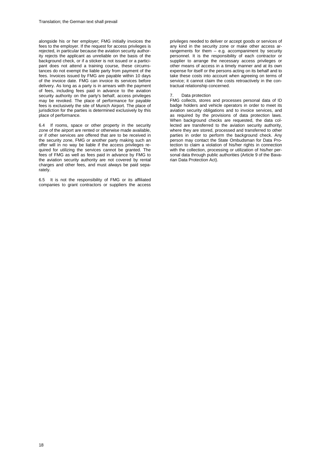alongside his or her employer; FMG initially invoices the fees to the employer. If the request for access privileges is rejected, in particular because the aviation security authority rejects the applicant as unreliable on the basis of the background check, or if a sticker is not issued or a participant does not attend a training course, these circumstances do not exempt the liable party from payment of the fees. Invoices issued by FMG are payable within 10 days of the invoice date. FMG can invoice its services before delivery. As long as a party is in arrears with the payment of fees, including fees paid in advance to the aviation security authority on the party's behalf, access privileges may be revoked. The place of performance for payable fees is exclusively the site of Munich Airport. The place of jurisdiction for the parties is determined exclusively by this place of performance.

6.4 If rooms, space or other property in the security zone of the airport are rented or otherwise made available, or if other services are offered that are to be received in the security zone, FMG or another party making such an offer will in no way be liable if the access privileges required for utilizing the services cannot be granted. The fees of FMG as well as fees paid in advance by FMG to the aviation security authority are not covered by rental charges and other fees, and must always be paid separately.

6.5 It is not the responsibility of FMG or its affiliated companies to grant contractors or suppliers the access

privileges needed to deliver or accept goods or services of any kind in the security zone or make other access arrangements for them – e.g. accompaniment by security personnel. It is the responsibility of each contractor or supplier to arrange the necessary access privileges or other means of access in a timely manner and at its own expense for itself or the persons acting on its behalf and to take these costs into account when agreeing on terms of service; it cannot claim the costs retroactively in the contractual relationship concerned.

#### 7. Data protection

FMG collects, stores and processes personal data of ID badge holders and vehicle operators in order to meet its aviation security obligations and to invoice services, and as required by the provisions of data protection laws. When background checks are requested, the data collected are transferred to the aviation security authority, where they are stored, processed and transferred to other parties in order to perform the background check. Any person may contact the State Ombudsman for Data Protection to claim a violation of his/her rights in connection with the collection, processing or utilization of his/her personal data through public authorities (Article 9 of the Bavarian Data Protection Act).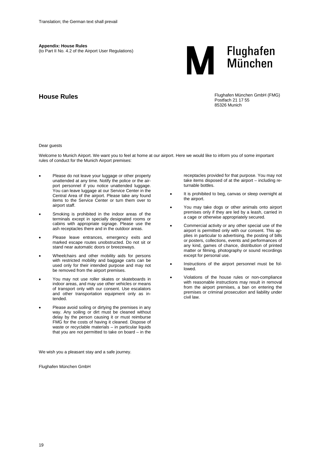**Appendix: House Rules** (to Part II No. 4.2 of the Airport User Regulations)

**House Rules Flughafen München GmbH (FMG)** Postfach 21 17 55 85326 Munich

**Manusian Flughafen** 

#### Dear guests

Welcome to Munich Airport. We want you to feel at home at our airport. Here we would like to inform you of some important rules of conduct for the Munich Airport premises:

- Please do not leave your luggage or other property unattended at any time. Notify the police or the airport personnel if you notice unattended luggage. You can leave luggage at our Service Center in the Central Area of the airport. Please take any found items to the Service Center or turn them over to airport staff.
- Smoking is prohibited in the indoor areas of the terminals except in specially designated rooms or cabins with appropriate signage. Please use the ash receptacles there and in the outdoor areas.
- Please leave entrances, emergency exits and marked escape routes unobstructed. Do not sit or stand near automatic doors or breezeways.
- Wheelchairs and other mobility aids for persons with restricted mobility and baggage carts can be used only for their intended purpose and may not be removed from the airport premises.
- You may not use roller skates or skateboards in indoor areas, and may use other vehicles or means of transport only with our consent. Use escalators and other transportation equipment only as intended.
- Please avoid soiling or dirtying the premises in any way. Any soiling or dirt must be cleaned without delay by the person causing it or must reimburse FMG for the costs of having it cleaned. Dispose of waste or recyclable materials – in particular liquids that you are not permitted to take on board – in the

We wish you a pleasant stay and a safe journey.

Flughafen München GmbH

receptacles provided for that purpose. You may not take items disposed of at the airport – including returnable bottles.

- It is prohibited to beg, canvas or sleep overnight at the airport.
- You may take dogs or other animals onto airport premises only if they are led by a leash, carried in a cage or otherwise appropriately secured.
- Commercial activity or any other special use of the airport is permitted only with our consent. This applies in particular to advertising, the posting of bills or posters, collections, events and performances of any kind, games of chance, distribution of printed matter or filming, photography or sound recordings except for personal use.
- Instructions of the airport personnel must be followed.
- Violations of the house rules or non-compliance with reasonable instructions may result in removal from the airport premises, a ban on entering the premises or criminal prosecution and liability under civil law.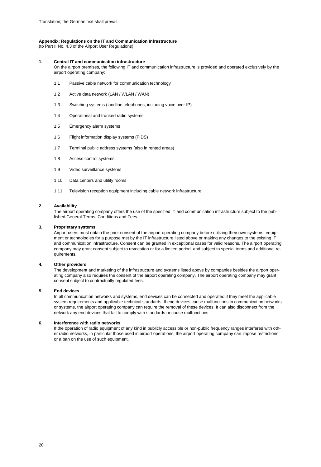# **Appendix: Regulations on the IT and Communication Infrastructure**

(to Part II No. 4.3 of the Airport User Regulations)

#### **1. Central IT and communication infrastructure**

On the airport premises, the following IT and communication infrastructure is provided and operated exclusively by the airport operating company:

- 1.1 Passive cable network for communication technology
- 1.2 Active data network (LAN / WLAN / WAN)
- 1.3 Switching systems (landline telephones, including voice over IP)
- 1.4 Operational and trunked radio systems
- 1.5 Emergency alarm systems
- 1.6 Flight information display systems (FIDS)
- 1.7 Terminal public address systems (also in rented areas)
- 1.8 Access control systems
- 1.9 Video surveillance systems
- 1.10 Data centers and utility rooms
- 1.11 Television reception equipment including cable network infrastructure

# **2. Availability**

The airport operating company offers the use of the specified IT and communication infrastructure subject to the published General Terms, Conditions and Fees.

# **3. Proprietary systems**

Airport users must obtain the prior consent of the airport operating company before utilizing their own systems, equipment or technologies for a purpose met by the IT infrastructure listed above or making any changes to the existing IT and communication infrastructure. Consent can be granted in exceptional cases for valid reasons. The airport operating company may grant consent subject to revocation or for a limited period, and subject to special terms and additional requirements.

#### **4. Other providers**

The development and marketing of the infrastructure and systems listed above by companies besides the airport operating company also requires the consent of the airport operating company. The airport operating company may grant consent subject to contractually regulated fees.

# **5. End devices**

In all communication networks and systems, end devices can be connected and operated if they meet the applicable system requirements and applicable technical standards. If end devices cause malfunctions in communication networks or systems, the airport operating company can require the removal of these devices. It can also disconnect from the network any end devices that fail to comply with standards or cause malfunctions.

# **6. Interference with radio networks**

If the operation of radio equipment of any kind in publicly accessible or non-public frequency ranges interferes with other radio networks, in particular those used in airport operations, the airport operating company can impose restrictions or a ban on the use of such equipment.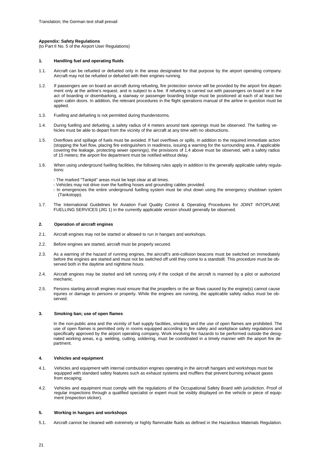# **Appendix: Safety Regulations**

(to Part II No. 5 of the Airport User Regulations)

# **1. Handling fuel and operating fluids**

- 1.1. Aircraft can be refueled or defueled only in the areas designated for that purpose by the airport operating company. Aircraft may not be refueled or defueled with their engines running.
- 1.2. If passengers are on board an aircraft during refueling, fire protection service will be provided by the airport fire department only at the airline's request, and is subject to a fee. If refueling is carried out with passengers on board or in the act of boarding or disembarking, a stairway or passenger boarding bridge must be positioned at each of at least two open cabin doors. In addition, the relevant procedures in the flight operations manual of the airline in question must be applied.
- 1.3. Fuelling and defueling is not permitted during thunderstorms.
- 1.4. During fuelling and defueling, a safety radius of 4 meters around tank openings must be observed. The fuelling vehicles must be able to depart from the vicinity of the aircraft at any time with no obstructions.
- 1.5. Overflows and spillage of fuels must be avoided. If fuel overflows or spills, in addition to the required immediate action (stopping the fuel flow, placing fire extinguishers in readiness, issuing a warning for the surrounding area, if applicable covering the leakage, protecting sewer openings), the provisions of 1.4 above must be observed, with a safety radius of 15 meters; the airport fire department must be notified without delay.
- 1.6. When using underground fuelling facilities, the following rules apply in addition to the generally applicable safety regulations:
	- The marked "Tankpit" areas must be kept clear at all times.
	- Vehicles may not drive over the fuelling hoses and grounding cables provided.
	- In emergencies the entire underground fuelling system must be shut down using the emergency shutdown system (Tankstopp).
- 1.7. The International Guidelines for Aviation Fuel Quality Control & Operating Procedures for JOINT INTOPLANE FUELLING SERVICES (JIG 1) in the currently applicable version should generally be observed.

## **2. Operation of aircraft engines**

- 2.1. Aircraft engines may not be started or allowed to run in hangars and workshops.
- 2.2. Before engines are started, aircraft must be properly secured.
- 2.3. As a warning of the hazard of running engines, the aircraft's anti-collision beacons must be switched on immediately before the engines are started and must not be switched off until they come to a standstill. This procedure must be observed both in the daytime and nighttime hours.
- 2.4. Aircraft engines may be started and left running only if the cockpit of the aircraft is manned by a pilot or authorized mechanic.
- 2.5. Persons starting aircraft engines must ensure that the propellers or the air flows caused by the engine(s) cannot cause injuries or damage to persons or property. While the engines are running, the applicable safety radius must be observed.

# **3. Smoking ban; use of open flames**

In the non-public area and the vicinity of fuel supply facilities, smoking and the use of open flames are prohibited. The use of open flames is permitted only in rooms equipped according to fire safety and workplace safety regulations and specifically approved by the airport operating company. Work involving fire hazards to be performed outside the designated working areas, e.g. welding, cutting, soldering, must be coordinated in a timely manner with the airport fire department.

# **4. Vehicles and equipment**

- 4.1. Vehicles and equipment with internal combustion engines operating in the aircraft hangars and workshops must be equipped with standard safety features such as exhaust systems and mufflers that prevent burning exhaust gases from escaping.
- 4.2. Vehicles and equipment must comply with the regulations of the Occupational Safety Board with jurisdiction. Proof of regular inspections through a qualified specialist or expert must be visibly displayed on the vehicle or piece of equipment (inspection sticker).

# **5. Working in hangars and workshops**

5.1. Aircraft cannot be cleaned with extremely or highly flammable fluids as defined in the Hazardous Materials Regulation.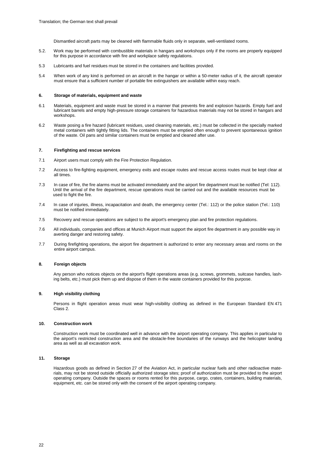Dismantled aircraft parts may be cleaned with flammable fluids only in separate, well-ventilated rooms.

- 5.2. Work may be performed with combustible materials in hangars and workshops only if the rooms are properly equipped for this purpose in accordance with fire and workplace safety regulations.
- 5.3 Lubricants and fuel residues must be stored in the containers and facilities provided.
- 5.4 When work of any kind is performed on an aircraft in the hangar or within a 50-meter radius of it, the aircraft operator must ensure that a sufficient number of portable fire extinguishers are available within easy reach.

# **6. Storage of materials, equipment and waste**

- 6.1 Materials, equipment and waste must be stored in a manner that prevents fire and explosion hazards. Empty fuel and lubricant barrels and empty high-pressure storage containers for hazardous materials may not be stored in hangars and workshops.
- 6.2 Waste posing a fire hazard (lubricant residues, used cleaning materials, etc.) must be collected in the specially marked metal containers with tightly fitting lids. The containers must be emptied often enough to prevent spontaneous ignition of the waste. Oil pans and similar containers must be emptied and cleaned after use.

#### **7. Firefighting and rescue services**

- 7.1 Airport users must comply with the Fire Protection Regulation.
- 7.2 Access to fire-fighting equipment, emergency exits and escape routes and rescue access routes must be kept clear at all times.
- 7.3 In case of fire, the fire alarms must be activated immediately and the airport fire department must be notified (Tel: 112). Until the arrival of the fire department, rescue operations must be carried out and the available resources must be used to fight the fire.
- 7.4 In case of injuries, illness, incapacitation and death, the emergency center (Tel.: 112) or the police station (Tel.: 110) must be notified immediately.
- 7.5 Recovery and rescue operations are subject to the airport's emergency plan and fire protection regulations.
- 7.6 All individuals, companies and offices at Munich Airport must support the airport fire department in any possible way in averting danger and restoring safety.
- 7.7 During firefighting operations, the airport fire department is authorized to enter any necessary areas and rooms on the entire airport campus.

# **8. Foreign objects**

Any person who notices objects on the airport's flight operations areas (e.g. screws, grommets, suitcase handles, lashing belts, etc.) must pick them up and dispose of them in the waste containers provided for this purpose.

#### **9. High visibility clothing**

Persons in flight operation areas must wear high-visibility clothing as defined in the European Standard EN 471 Class 2.

# **10. Construction work**

Construction work must be coordinated well in advance with the airport operating company. This applies in particular to the airport's restricted construction area and the obstacle-free boundaries of the runways and the helicopter landing area as well as all excavation work.

# **11. Storage**

Hazardous goods as defined in Section 27 of the Aviation Act, in particular nuclear fuels and other radioactive materials, may not be stored outside officially authorized storage sites; proof of authorization must be provided to the airport operating company. Outside the spaces or rooms rented for this purpose, cargo, crates, containers, building materials, equipment, etc. can be stored only with the consent of the airport operating company.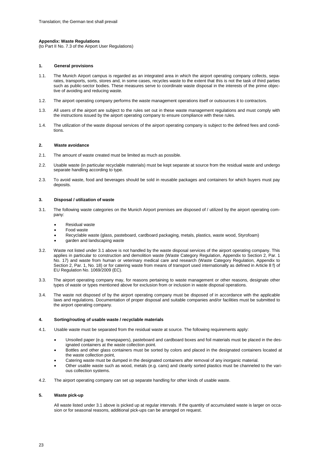# **Appendix: Waste Regulations**

(to Part II No. 7.3 of the Airport User Regulations)

# **1. General provisions**

- 1.1. The Munich Airport campus is regarded as an integrated area in which the airport operating company collects, separates, transports, sorts, stores and, in some cases, recycles waste to the extent that this is not the task of third parties such as public-sector bodies. These measures serve to coordinate waste disposal in the interests of the prime objective of avoiding and reducing waste.
- 1.2. The airport operating company performs the waste management operations itself or outsources it to contractors.
- 1.3. All users of the airport are subject to the rules set out in these waste management regulations and must comply with the instructions issued by the airport operating company to ensure compliance with these rules.
- 1.4. The utilization of the waste disposal services of the airport operating company is subject to the defined fees and conditions.

## **2. Waste avoidance**

- 2.1. The amount of waste created must be limited as much as possible.
- 2.2. Usable waste (in particular recyclable materials) must be kept separate at source from the residual waste and undergo separate handling according to type.
- 2.3. To avoid waste, food and beverages should be sold in reusable packages and containers for which buyers must pay deposits.

# **3. Disposal / utilization of waste**

- 3.1. The following waste categories on the Munich Airport premises are disposed of / utilized by the airport operating company:
	- Residual waste
	- Food waste
	- Recyclable waste (glass, pasteboard, cardboard packaging, metals, plastics, waste wood, Styrofoam)
	- garden and landscaping waste
- 3.2. Waste not listed under 3.1 above is not handled by the waste disposal services of the airport operating company. This applies in particular to construction and demolition waste (Waste Category Regulation, Appendix to Section 2, Par. 1 No. 17) and waste from human or veterinary medical care and research (Waste Category Regulation, Appendix to Section 2, Par. 1, No. 18) or for catering waste from means of transport used internationally as defined in Article 8 f) of EU Regulation No. 1069/2009 (EC).
- 3.3. The airport operating company may, for reasons pertaining to waste management or other reasons, designate other types of waste or types mentioned above for exclusion from or inclusion in waste disposal operations.
- 3.4. The waste not disposed of by the airport operating company must be disposed of in accordance with the applicable laws and regulations. Documentation of proper disposal and suitable companies and/or facilities must be submitted to the airport operating company.

# **4. Sorting/routing of usable waste / recyclable materials**

- 4.1. Usable waste must be separated from the residual waste at source. The following requirements apply:
	- Unsoiled paper (e.g. newspapers), pasteboard and cardboard boxes and foil materials must be placed in the designated containers at the waste collection point.
	- Bottles and other glass containers must be sorted by colors and placed in the designated containers located at the waste collection point,
	- Catering waste must be dumped in the designated containers after removal of any inorganic material.
	- Other usable waste such as wood, metals (e.g. cans) and cleanly sorted plastics must be channeled to the various collection systems.
- 4.2. The airport operating company can set up separate handling for other kinds of usable waste.

# **5. Waste pick-up**

All waste listed under 3.1 above is picked up at regular intervals. If the quantity of accumulated waste is larger on occasion or for seasonal reasons, additional pick-ups can be arranged on request.